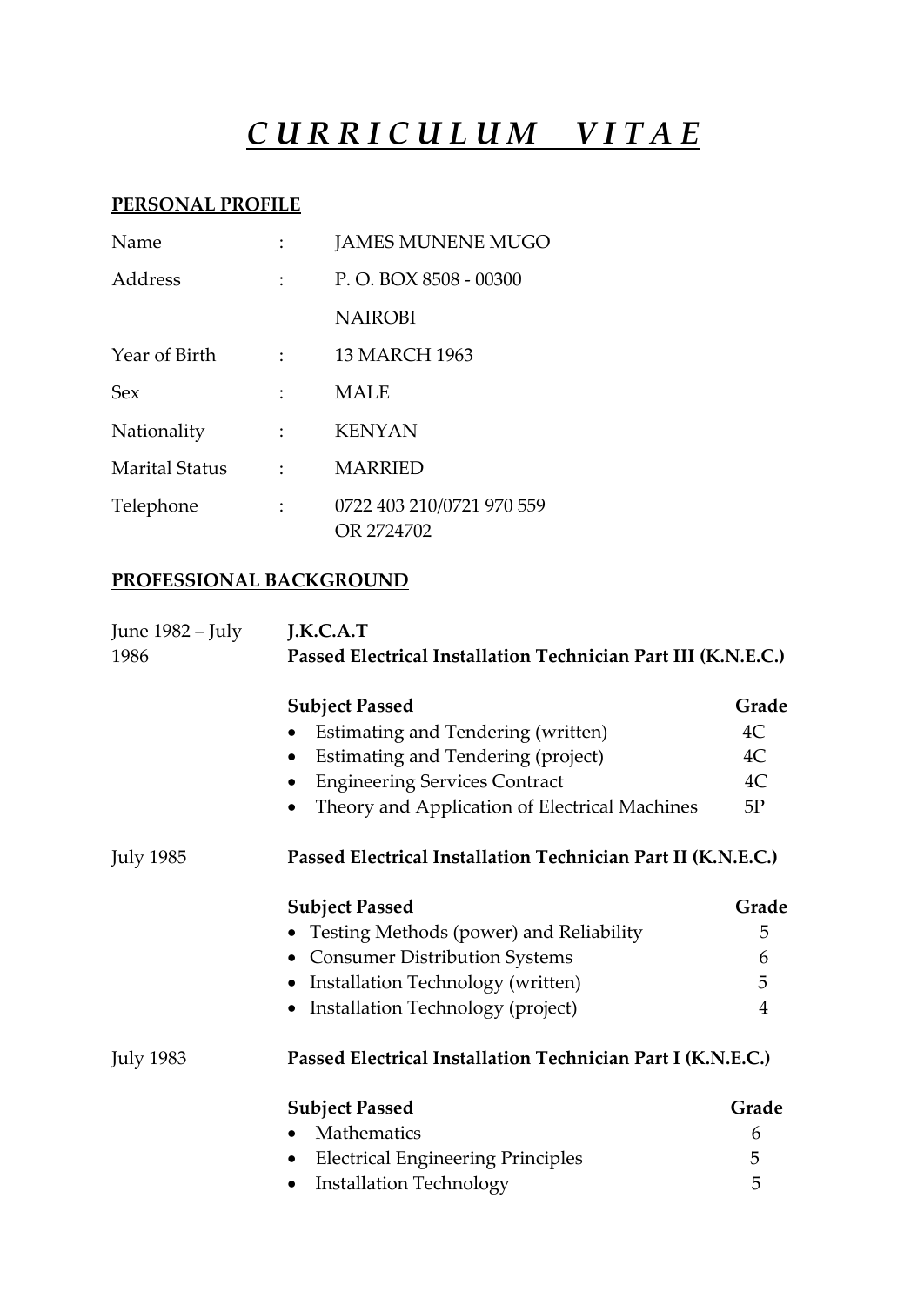# *C U R R I C U L U M V I T A E*

### **PERSONAL PROFILE**

| Name                  |                           | <b>JAMES MUNENE MUGO</b>                |
|-----------------------|---------------------------|-----------------------------------------|
| Address               |                           | P.O. BOX 8508 - 00300                   |
|                       |                           | <b>NAIROBI</b>                          |
| Year of Birth         | $\mathbb{R}^{\mathbb{Z}}$ | <b>13 MARCH 1963</b>                    |
| <b>Sex</b>            |                           | <b>MALE</b>                             |
| Nationality           |                           | <b>KENYAN</b>                           |
| <b>Marital Status</b> |                           | <b>MARRIED</b>                          |
| Telephone             |                           | 0722 403 210/0721 970 559<br>OR 2724702 |

### **PROFESSIONAL BACKGROUND**

| June 1982 – July | J.K.C.A.T                                                     |       |  |
|------------------|---------------------------------------------------------------|-------|--|
| 1986             | Passed Electrical Installation Technician Part III (K.N.E.C.) |       |  |
|                  | <b>Subject Passed</b>                                         | Grade |  |
|                  | Estimating and Tendering (written)                            | 4C    |  |
|                  | Estimating and Tendering (project)<br>$\bullet$               | 4C    |  |
|                  | <b>Engineering Services Contract</b><br>٠                     | 4C    |  |
|                  | Theory and Application of Electrical Machines<br>$\bullet$    | 5P    |  |
| <b>July 1985</b> | Passed Electrical Installation Technician Part II (K.N.E.C.)  |       |  |
|                  | <b>Subject Passed</b>                                         | Grade |  |
|                  | • Testing Methods (power) and Reliability                     | 5     |  |
|                  | <b>Consumer Distribution Systems</b>                          | 6     |  |
|                  | Installation Technology (written)                             | 5     |  |
|                  | Installation Technology (project)<br>$\bullet$                | 4     |  |
| <b>July 1983</b> | Passed Electrical Installation Technician Part I (K.N.E.C.)   |       |  |
|                  | <b>Subject Passed</b>                                         | Grade |  |
|                  | Mathematics                                                   | 6     |  |
|                  | <b>Electrical Engineering Principles</b>                      | 5     |  |
|                  | <b>Installation Technology</b><br>٠                           | 5     |  |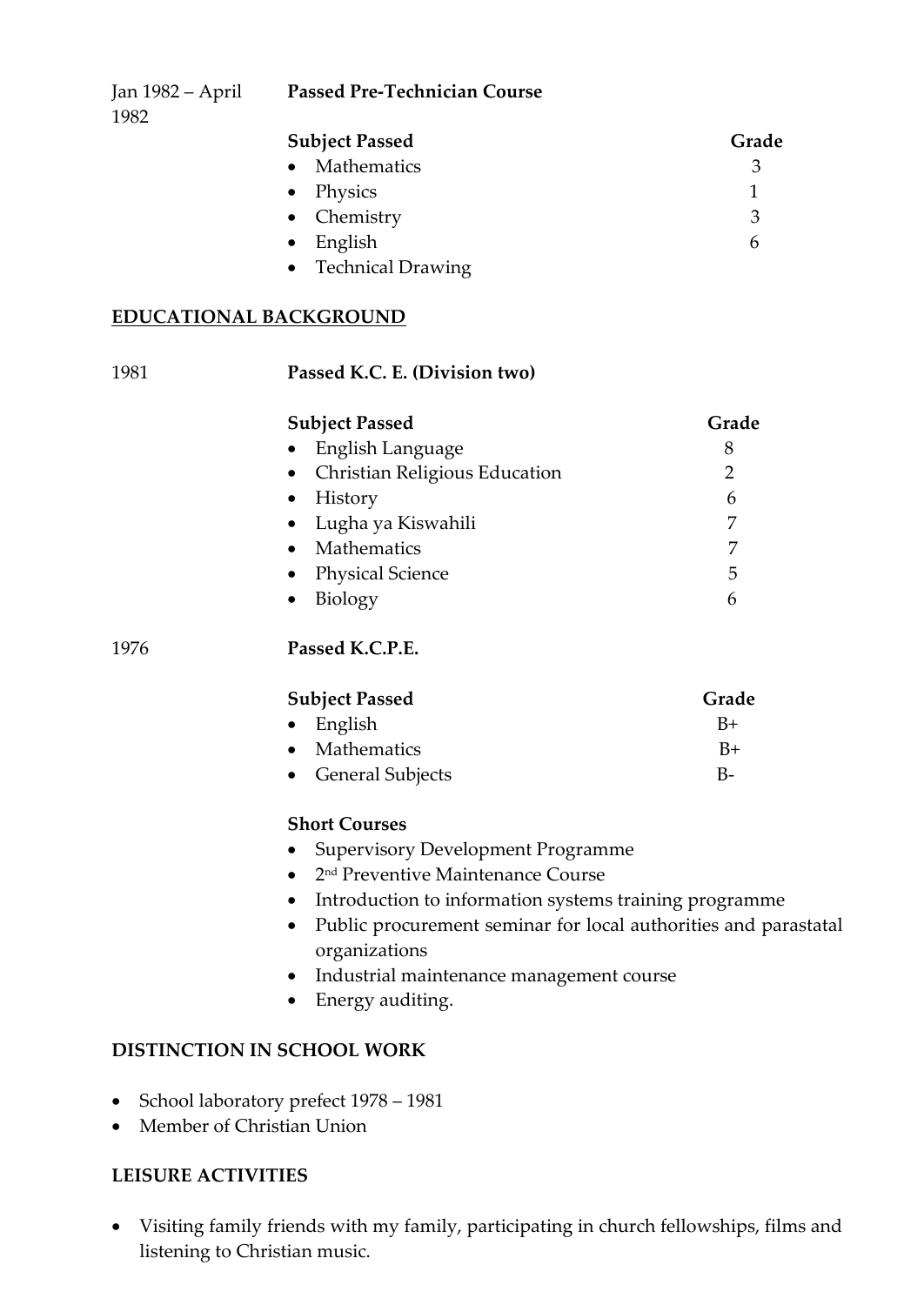| <b>Subject Passed</b> | Grade |
|-----------------------|-------|
| • Mathematics         | 3     |
| • Physics             |       |
| • Chemistry           | 3     |
| $\bullet$ English     | h     |
| • Technical Drawing   |       |

### **EDUCATIONAL BACKGROUND**

| 1981      | Passed K.C. E. (Division two)                                                                 |                |  |  |
|-----------|-----------------------------------------------------------------------------------------------|----------------|--|--|
|           | <b>Subject Passed</b>                                                                         | Grade          |  |  |
|           | English Language                                                                              | 8              |  |  |
|           | Christian Religious Education<br>$\bullet$                                                    | $\overline{2}$ |  |  |
|           | History<br>$\bullet$                                                                          | 6              |  |  |
|           | Lugha ya Kiswahili<br>$\bullet$                                                               | 7              |  |  |
|           | Mathematics<br>$\bullet$                                                                      | 7              |  |  |
|           | <b>Physical Science</b><br>$\bullet$                                                          | 5              |  |  |
|           | Biology<br>$\bullet$                                                                          | 6              |  |  |
| 1976      | Passed K.C.P.E.                                                                               |                |  |  |
|           | <b>Subject Passed</b>                                                                         | Grade          |  |  |
|           | English<br>$\bullet$                                                                          | $B+$           |  |  |
|           | Mathematics                                                                                   | $B+$           |  |  |
|           | <b>General Subjects</b><br>$\bullet$                                                          | $B-$           |  |  |
|           | <b>Short Courses</b>                                                                          |                |  |  |
|           | <b>Supervisory Development Programme</b><br>$\bullet$                                         |                |  |  |
|           | 2 <sup>nd</sup> Preventive Maintenance Course<br>$\bullet$                                    |                |  |  |
|           | Introduction to information systems training programme<br>$\bullet$                           |                |  |  |
|           | Public procurement seminar for local authorities and parastatal<br>$\bullet$<br>organizations |                |  |  |
|           | Industrial maintenance management course                                                      |                |  |  |
|           | Energy auditing.<br>$\bullet$                                                                 |                |  |  |
|           | DISTINCTION IN SCHOOL WORK                                                                    |                |  |  |
| $\bullet$ | School laboratory prefect 1978 - 1981                                                         |                |  |  |

• Member of Christian Union

### **LEISURE ACTIVITIES**

 Visiting family friends with my family, participating in church fellowships, films and listening to Christian music.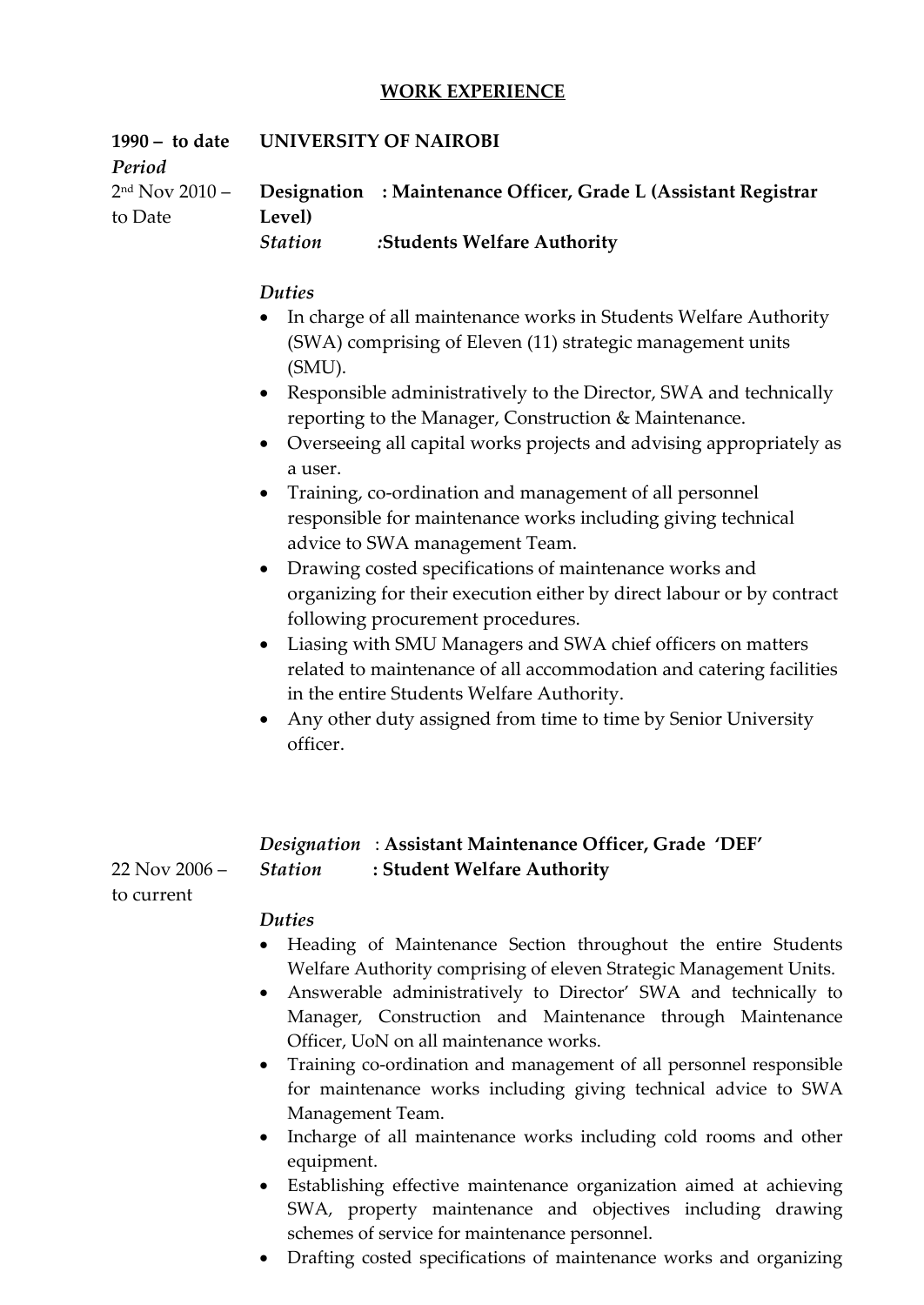### **WORK EXPERIENCE**

| $1990 -$ to date<br>Period      | UNIVERSITY OF NAIROBI                                                                                                                                                                                                                                                                                                                                                                                                                                                                                                                                                                                                                                                                                                                                                                                                                                                                                                                                                                                                                 |  |  |
|---------------------------------|---------------------------------------------------------------------------------------------------------------------------------------------------------------------------------------------------------------------------------------------------------------------------------------------------------------------------------------------------------------------------------------------------------------------------------------------------------------------------------------------------------------------------------------------------------------------------------------------------------------------------------------------------------------------------------------------------------------------------------------------------------------------------------------------------------------------------------------------------------------------------------------------------------------------------------------------------------------------------------------------------------------------------------------|--|--|
| $2nd$ Nov 2010 –                | Designation : Maintenance Officer, Grade L (Assistant Registrar                                                                                                                                                                                                                                                                                                                                                                                                                                                                                                                                                                                                                                                                                                                                                                                                                                                                                                                                                                       |  |  |
| to Date                         | Level)<br><b>Station</b><br>:Students Welfare Authority                                                                                                                                                                                                                                                                                                                                                                                                                                                                                                                                                                                                                                                                                                                                                                                                                                                                                                                                                                               |  |  |
|                                 | <b>Duties</b><br>In charge of all maintenance works in Students Welfare Authority<br>$\bullet$<br>(SWA) comprising of Eleven (11) strategic management units<br>(SMU).<br>Responsible administratively to the Director, SWA and technically<br>$\bullet$<br>reporting to the Manager, Construction & Maintenance.<br>• Overseeing all capital works projects and advising appropriately as<br>a user.<br>Training, co-ordination and management of all personnel<br>responsible for maintenance works including giving technical<br>advice to SWA management Team.<br>Drawing costed specifications of maintenance works and<br>$\bullet$<br>organizing for their execution either by direct labour or by contract<br>following procurement procedures.<br>Liasing with SMU Managers and SWA chief officers on matters<br>$\bullet$<br>related to maintenance of all accommodation and catering facilities<br>in the entire Students Welfare Authority.<br>Any other duty assigned from time to time by Senior University<br>officer. |  |  |
| $22$ Nov $2006 -$<br>to current | Designation: Assistant Maintenance Officer, Grade 'DEF'<br><b>Station</b><br>: Student Welfare Authority<br><b>Duties</b>                                                                                                                                                                                                                                                                                                                                                                                                                                                                                                                                                                                                                                                                                                                                                                                                                                                                                                             |  |  |

- Heading of Maintenance Section throughout the entire Students Welfare Authority comprising of eleven Strategic Management Units.
- Answerable administratively to Director' SWA and technically to Manager, Construction and Maintenance through Maintenance Officer, UoN on all maintenance works.
- Training co-ordination and management of all personnel responsible for maintenance works including giving technical advice to SWA Management Team.
- Incharge of all maintenance works including cold rooms and other equipment.
- Establishing effective maintenance organization aimed at achieving SWA, property maintenance and objectives including drawing schemes of service for maintenance personnel.
- Drafting costed specifications of maintenance works and organizing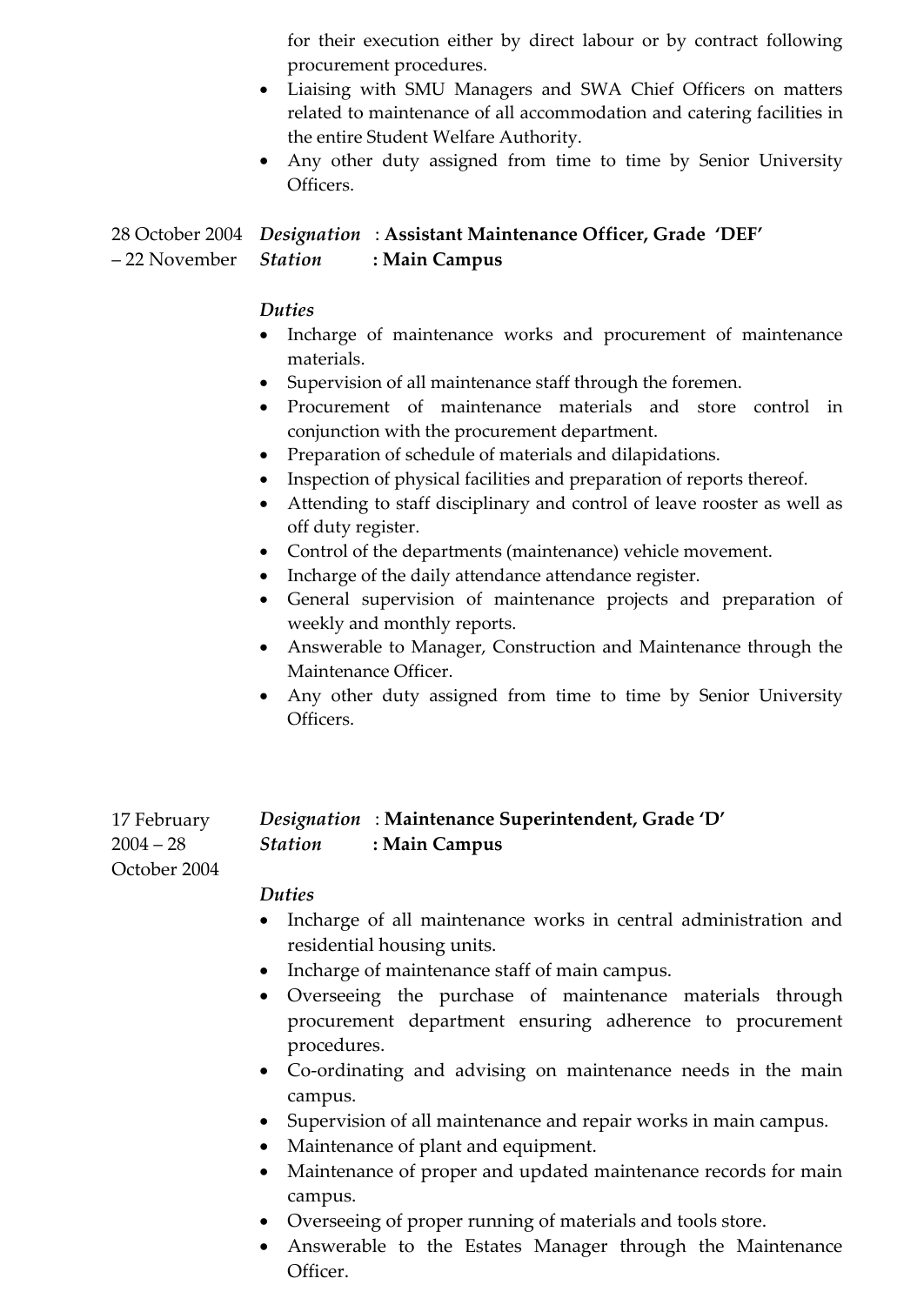for their execution either by direct labour or by contract following procurement procedures.

- Liaising with SMU Managers and SWA Chief Officers on matters related to maintenance of all accommodation and catering facilities in the entire Student Welfare Authority.
- Any other duty assigned from time to time by Senior University Officers.

### 28 October 2004 *Designation* : **Assistant Maintenance Officer, Grade 'DEF'** – 22 November Station *Station* **: Main Campus**

### *Duties*

- Incharge of maintenance works and procurement of maintenance materials.
- Supervision of all maintenance staff through the foremen.
- Procurement of maintenance materials and store control in conjunction with the procurement department.
- Preparation of schedule of materials and dilapidations.
- Inspection of physical facilities and preparation of reports thereof.
- Attending to staff disciplinary and control of leave rooster as well as off duty register.
- Control of the departments (maintenance) vehicle movement.
- Incharge of the daily attendance attendance register.
- General supervision of maintenance projects and preparation of weekly and monthly reports.
- Answerable to Manager, Construction and Maintenance through the Maintenance Officer.
- Any other duty assigned from time to time by Senior University Officers.

| 17 February |                | <i>Designation</i> : Maintenance Superintendent, Grade 'D' |
|-------------|----------------|------------------------------------------------------------|
| $2004-28$   | <b>Station</b> | : Main Campus                                              |

### *Duties*

October 2004

- Incharge of all maintenance works in central administration and residential housing units.
- Incharge of maintenance staff of main campus.
- Overseeing the purchase of maintenance materials through procurement department ensuring adherence to procurement procedures.
- Co-ordinating and advising on maintenance needs in the main campus.
- Supervision of all maintenance and repair works in main campus.
- Maintenance of plant and equipment.
- Maintenance of proper and updated maintenance records for main campus.
- Overseeing of proper running of materials and tools store.
- Answerable to the Estates Manager through the Maintenance Officer.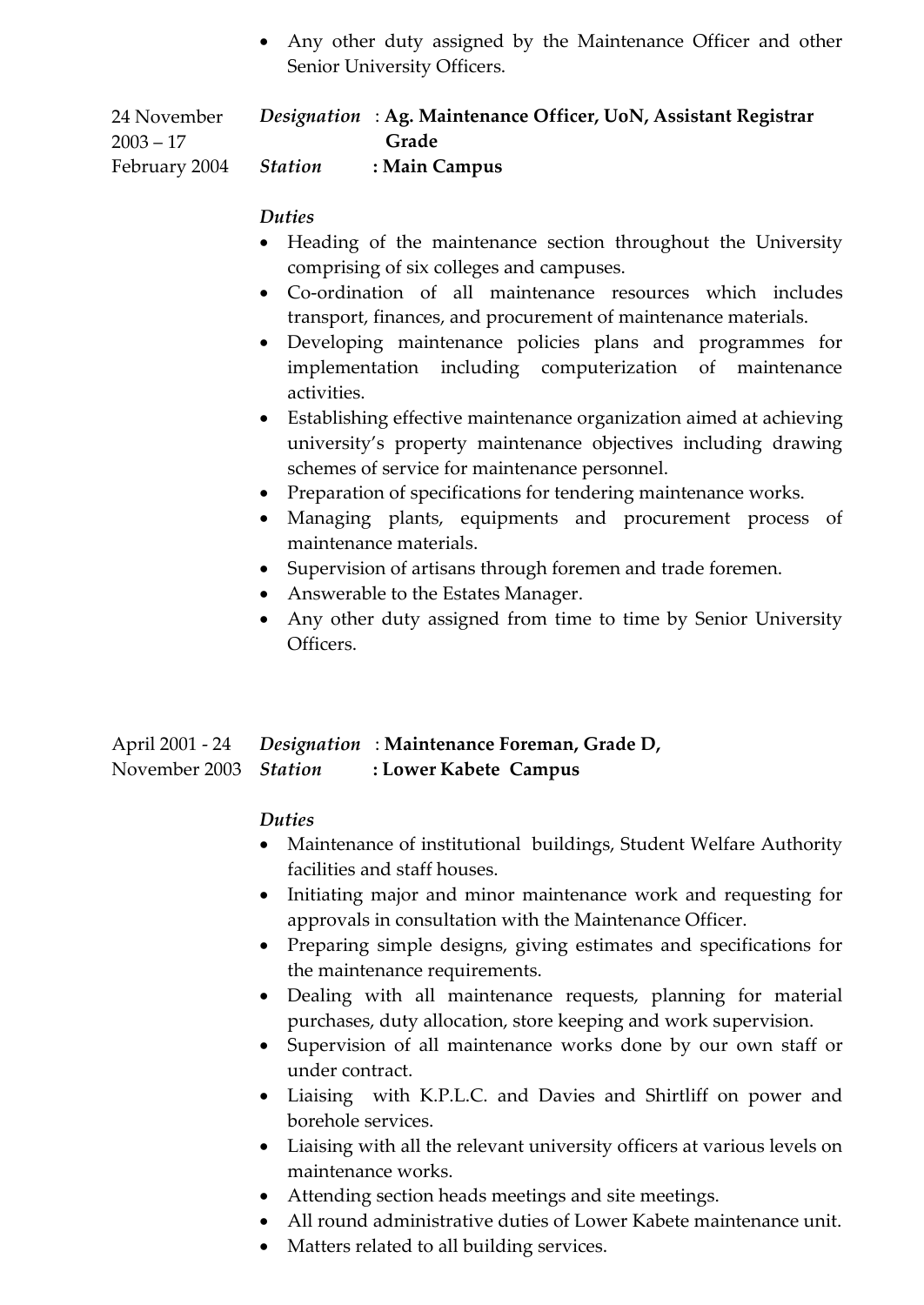Any other duty assigned by the Maintenance Officer and other Senior University Officers.

24 November  $2003 - 17$ February 2004 *Designation* : **Ag. Maintenance Officer, UoN, Assistant Registrar Grade** *Station* **: Main Campus**

### *Duties*

- Heading of the maintenance section throughout the University comprising of six colleges and campuses.
- Co-ordination of all maintenance resources which includes transport, finances, and procurement of maintenance materials.
- Developing maintenance policies plans and programmes for implementation including computerization of maintenance activities.
- Establishing effective maintenance organization aimed at achieving university's property maintenance objectives including drawing schemes of service for maintenance personnel.
- Preparation of specifications for tendering maintenance works.
- Managing plants, equipments and procurement process of maintenance materials.
- Supervision of artisans through foremen and trade foremen.
- Answerable to the Estates Manager.
- Any other duty assigned from time to time by Senior University Officers.

#### April 2001 - 24 November 2003 Station *Designation* : **Maintenance Foreman, Grade D,**  *Station* **: Lower Kabete Campus**

### *Duties*

- Maintenance of institutional buildings, Student Welfare Authority facilities and staff houses.
- Initiating major and minor maintenance work and requesting for approvals in consultation with the Maintenance Officer.
- Preparing simple designs, giving estimates and specifications for the maintenance requirements.
- Dealing with all maintenance requests, planning for material purchases, duty allocation, store keeping and work supervision.
- Supervision of all maintenance works done by our own staff or under contract.
- Liaising with K.P.L.C. and Davies and Shirtliff on power and borehole services.
- Liaising with all the relevant university officers at various levels on maintenance works.
- Attending section heads meetings and site meetings.
- All round administrative duties of Lower Kabete maintenance unit.
- Matters related to all building services.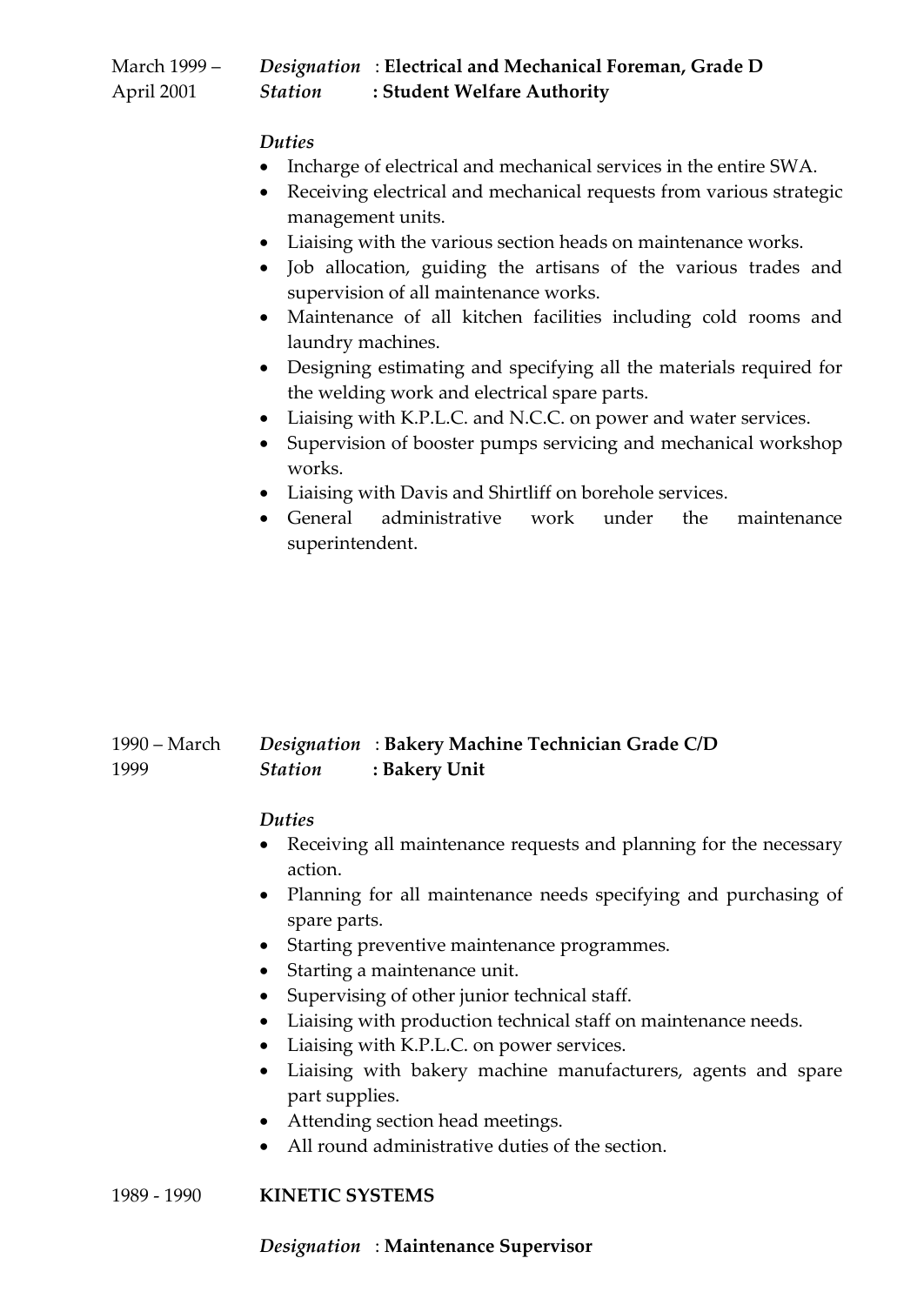| March 1999 – |                | Designation: Electrical and Mechanical Foreman, Grade D |
|--------------|----------------|---------------------------------------------------------|
| April 2001   | <b>Station</b> | : Student Welfare Authority                             |

### *Duties*

- Incharge of electrical and mechanical services in the entire SWA.
- Receiving electrical and mechanical requests from various strategic management units.
- Liaising with the various section heads on maintenance works.
- Job allocation, guiding the artisans of the various trades and supervision of all maintenance works.
- Maintenance of all kitchen facilities including cold rooms and laundry machines.
- Designing estimating and specifying all the materials required for the welding work and electrical spare parts.
- Liaising with K.P.L.C. and N.C.C. on power and water services.
- Supervision of booster pumps servicing and mechanical workshop works.
- Liaising with Davis and Shirtliff on borehole services.
- General administrative work under the maintenance superintendent.

#### 1990 – March 1999 *Designation* : **Bakery Machine Technician Grade C/D**  *Station* **: Bakery Unit**

### *Duties*

- Receiving all maintenance requests and planning for the necessary action.
- Planning for all maintenance needs specifying and purchasing of spare parts.
- Starting preventive maintenance programmes.
- Starting a maintenance unit.
- Supervising of other junior technical staff.
- Liaising with production technical staff on maintenance needs.
- Liaising with K.P.L.C. on power services.
- Liaising with bakery machine manufacturers, agents and spare part supplies.
- Attending section head meetings.
- All round administrative duties of the section.

### 1989 - 1990 **KINETIC SYSTEMS**

### *Designation* : **Maintenance Supervisor**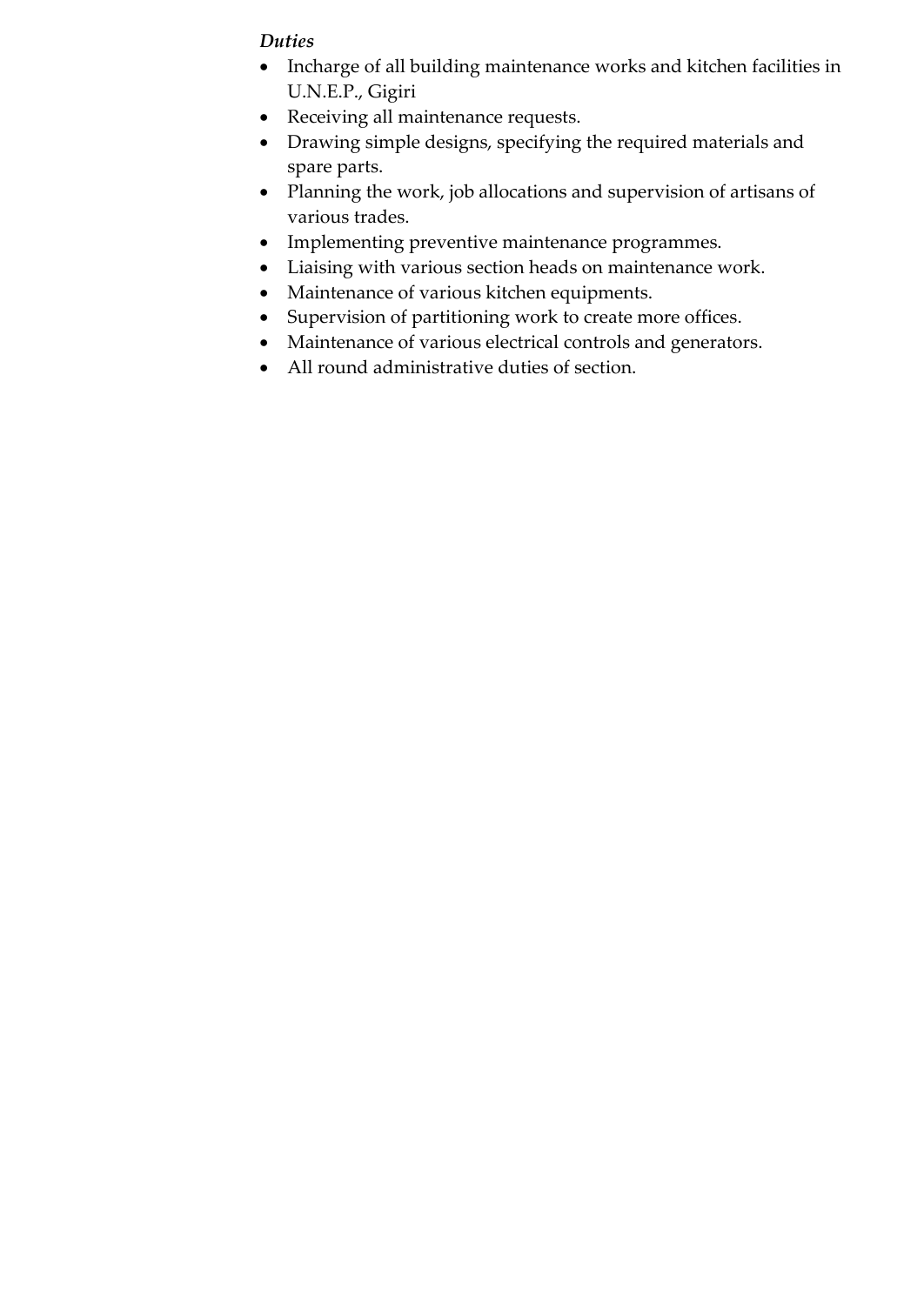### *Duties*

- Incharge of all building maintenance works and kitchen facilities in U.N.E.P., Gigiri
- Receiving all maintenance requests.
- Drawing simple designs, specifying the required materials and spare parts.
- Planning the work, job allocations and supervision of artisans of various trades.
- Implementing preventive maintenance programmes.
- Liaising with various section heads on maintenance work.
- Maintenance of various kitchen equipments.
- Supervision of partitioning work to create more offices.
- Maintenance of various electrical controls and generators.
- All round administrative duties of section.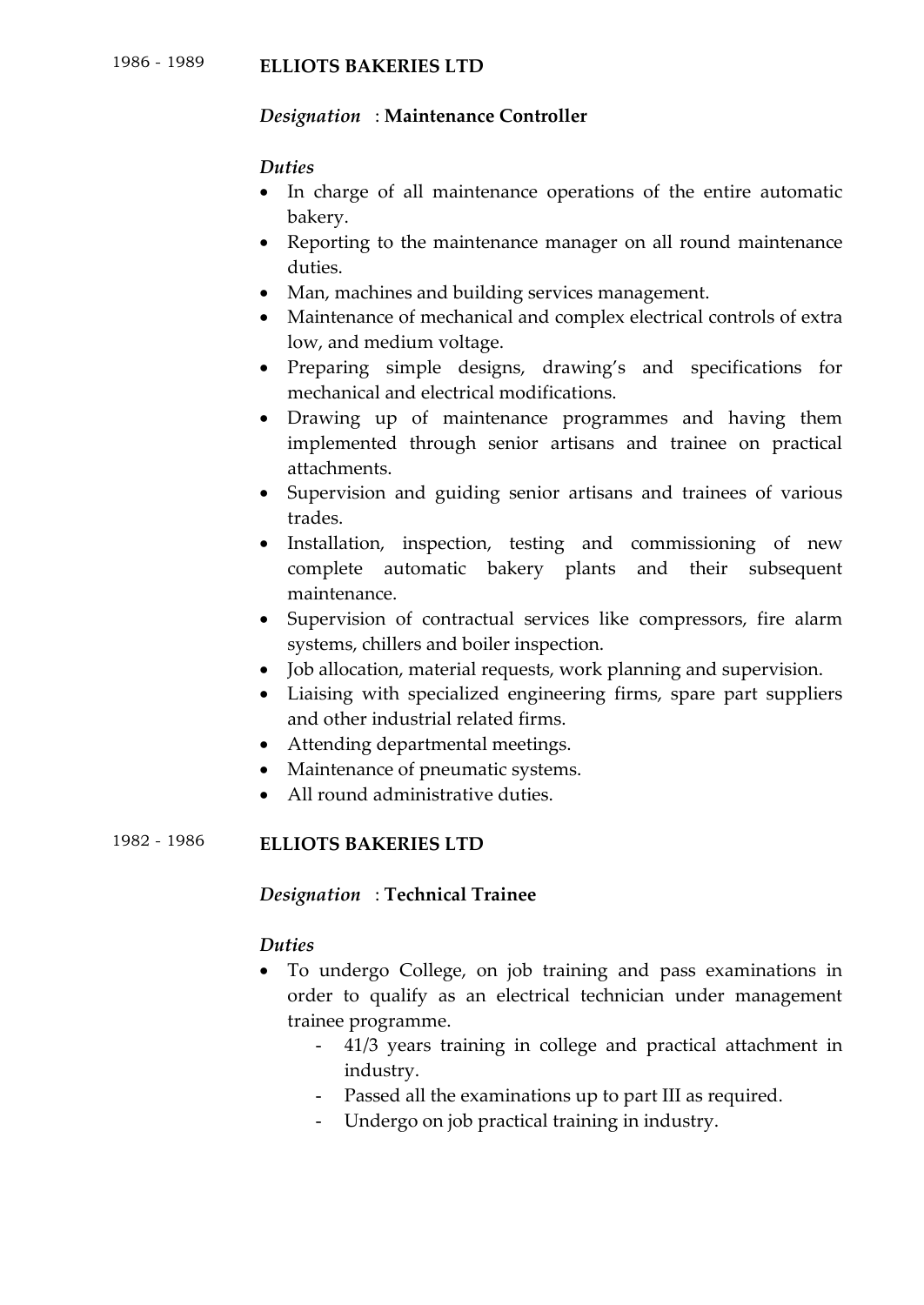### *Designation* : **Maintenance Controller**

### *Duties*

- In charge of all maintenance operations of the entire automatic bakery.
- Reporting to the maintenance manager on all round maintenance duties.
- Man, machines and building services management.
- Maintenance of mechanical and complex electrical controls of extra low, and medium voltage.
- Preparing simple designs, drawing's and specifications for mechanical and electrical modifications.
- Drawing up of maintenance programmes and having them implemented through senior artisans and trainee on practical attachments.
- Supervision and guiding senior artisans and trainees of various trades.
- Installation, inspection, testing and commissioning of new complete automatic bakery plants and their subsequent maintenance.
- Supervision of contractual services like compressors, fire alarm systems, chillers and boiler inspection.
- Job allocation, material requests, work planning and supervision.
- Liaising with specialized engineering firms, spare part suppliers and other industrial related firms.
- Attending departmental meetings.
- Maintenance of pneumatic systems.
- All round administrative duties.

## 1982 - <sup>1986</sup> **ELLIOTS BAKERIES LTD**

### *Designation* : **Technical Trainee**

### *Duties*

- To undergo College, on job training and pass examinations in order to qualify as an electrical technician under management trainee programme.
	- 41/3 years training in college and practical attachment in industry.
	- Passed all the examinations up to part III as required.
	- Undergo on job practical training in industry.